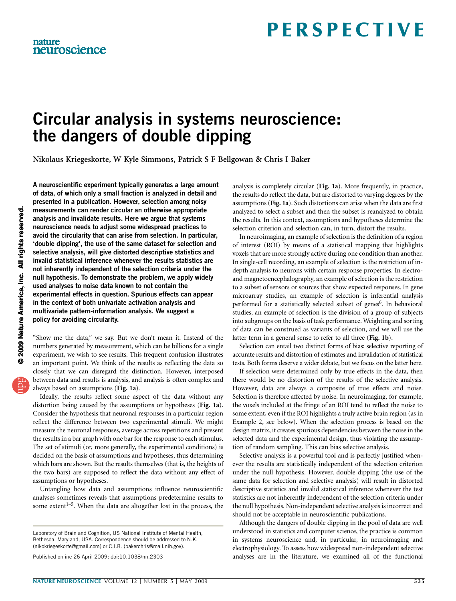## Circular analysis in systems neuroscience: the dangers of double dipping

Nikolaus Kriegeskorte, W Kyle Simmons, Patrick S F Bellgowan & Chris I Baker

A neuroscientific experiment typically generates a large amount of data, of which only a small fraction is analyzed in detail and presented in a publication. However, selection among noisy measurements can render circular an otherwise appropriate analysis and invalidate results. Here we argue that systems neuroscience needs to adjust some widespread practices to avoid the circularity that can arise from selection. In particular, 'double dipping', the use of the same dataset for selection and selective analysis, will give distorted descriptive statistics and invalid statistical inference whenever the results statistics are not inherently independent of the selection criteria under the null hypothesis. To demonstrate the problem, we apply widely used analyses to noise data known to not contain the experimental effects in question. Spurious effects can appear in the context of both univariate activation analysis and multivariate pattern-information analysis. We suggest a policy for avoiding circularity.

"Show me the data," we say. But we don't mean it. Instead of the numbers generated by measurement, which can be billions for a single experiment, we wish to see results. This frequent confusion illustrates an important point. We think of the results as reflecting the data so closely that we can disregard the distinction. However, interposed between data and results is analysis, and analysis is often complex and always based on assumptions (Fig. 1a).

Ideally, the results reflect some aspect of the data without any distortion being caused by the assumptions or hypotheses (Fig. 1a). Consider the hypothesis that neuronal responses in a particular region reflect the difference between two experimental stimuli. We might measure the neuronal responses, average across repetitions and present the results in a bar graph with one bar for the response to each stimulus. The set of stimuli (or, more generally, the experimental conditions) is decided on the basis of assumptions and hypotheses, thus determining which bars are shown. But the results themselves (that is, the heights of the two bars) are supposed to reflect the data without any effect of assumptions or hypotheses.

Untangling how data and assumptions influence neuroscientific analyses sometimes reveals that assumptions predetermine results to some extent<sup>1-5</sup>. When the data are altogether lost in the process, the

analysis is completely circular (Fig. 1a). More frequently, in practice, the results do reflect the data, but are distorted to varying degrees by the assumptions (Fig. 1a). Such distortions can arise when the data are first analyzed to select a subset and then the subset is reanalyzed to obtain the results. In this context, assumptions and hypotheses determine the selection criterion and selection can, in turn, distort the results.

In neuroimaging, an example of selection is the definition of a region of interest (ROI) by means of a statistical mapping that highlights voxels that are more strongly active during one condition than another. In single-cell recording, an example of selection is the restriction of indepth analysis to neurons with certain response properties. In electroand magnetoencephalography, an example of selection is the restriction to a subset of sensors or sources that show expected responses. In gene microarray studies, an example of selection is inferential analysis performed for a statistically selected subset of genes<sup>6</sup>. In behavioral studies, an example of selection is the division of a group of subjects into subgroups on the basis of task performance. Weighting and sorting of data can be construed as variants of selection, and we will use the latter term in a general sense to refer to all three (Fig. 1b).

Selection can entail two distinct forms of bias: selective reporting of accurate results and distortion of estimates and invalidation of statistical tests. Both forms deserve a wider debate, but we focus on the latter here.

If selection were determined only by true effects in the data, then there would be no distortion of the results of the selective analysis. However, data are always a composite of true effects and noise. Selection is therefore affected by noise. In neuroimaging, for example, the voxels included at the fringe of an ROI tend to reflect the noise to some extent, even if the ROI highlights a truly active brain region (as in Example 2, see below). When the selection process is based on the design matrix, it creates spurious dependencies between the noise in the selected data and the experimental design, thus violating the assumption of random sampling. This can bias selective analysis.

Selective analysis is a powerful tool and is perfectly justified whenever the results are statistically independent of the selection criterion under the null hypothesis. However, double dipping (the use of the same data for selection and selective analysis) will result in distorted descriptive statistics and invalid statistical inference whenever the test statistics are not inherently independent of the selection criteria under the null hypothesis. Non-independent selective analysis is incorrect and should not be acceptable in neuroscientific publications.

Although the dangers of double dipping in the pool of data are well understood in statistics and computer science, the practice is common in systems neuroscience and, in particular, in neuroimaging and electrophysiology. To assess how widespread non-independent selective Published online 26 April 2009; [doi:10.1038/nn.2303](http://www.nature.com/doifinder/10.1038/nn.2303) analyses are in the literature, we examined all of the functional

Laboratory of Brain and Cognition, US National Institute of Mental Health, Bethesda, Maryland, USA. Correspondence should be addressed to N.K. [\(nikokriegeskorte@gmail.com\)](mailto:nikokriegeskorte@gmail.com) or C.I.B. [\(bakerchris@mail.nih.gov](mailto:bakerchris@mail.nih.gov)).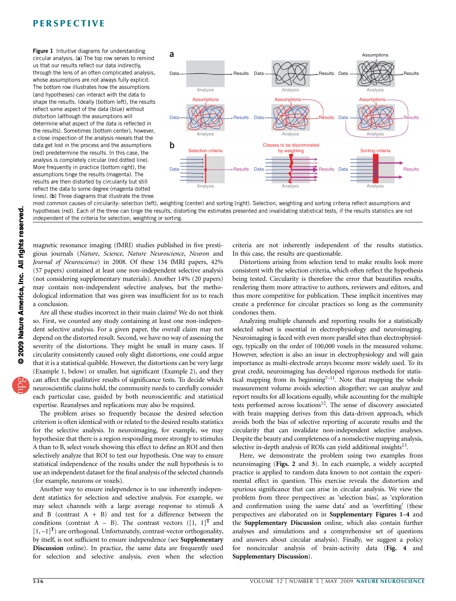Figure 1 Intuitive diagrams for understanding circular analysis. (a) The top row serves to remind us that our results reflect our data indirectly, through the lens of an often complicated analysis, whose assumptions are not always fully explicit. The bottom row illustrates how the assumptions (and hypotheses) can interact with the data to shape the results. Ideally (bottom left), the results reflect some aspect of the data (blue) without distortion (although the assumptions will determine what aspect of the data is reflected in the results). Sometimes (bottom center), however, a close inspection of the analysis reveals that the data get lost in the process and the assumptions (red) predetermine the results. In this case, the analysis is completely circular (red dotted line). More frequently in practice (bottom right), the assumptions tinge the results (magenta). The results are then distorted by circularity but still reflect the data to some degree (magenta dotted lines). (b) Three diagrams that illustrate the three



most common causes of circularity: selection (left), weighting (center) and sorting (right). Selection, weighting and sorting criteria reflect assumptions and hypotheses (red). Each of the three can tinge the results, distorting the estimates presented and invalidating statistical tests, if the results statistics are not independent of the criteria for selection, weighting or sorting.

magnetic resonance imaging (fMRI) studies published in five prestigious journals (Nature, Science, Nature Neuroscience, Neuron and Journal of Neuroscience) in 2008. Of these 134 fMRI papers, 42% (57 papers) contained at least one non-independent selective analysis (not considering supplementary materials). Another 14% (20 papers) may contain non-independent selective analyses, but the methodological information that was given was insufficient for us to reach a conclusion.

Are all these studies incorrect in their main claims? We do not think so. First, we counted any study containing at least one non-independent selective analysis. For a given paper, the overall claim may not depend on the distorted result. Second, we have no way of assessing the severity of the distortions. They might be small in many cases. If circularity consistently caused only slight distortions, one could argue that it is a statistical quibble. However, the distortions can be very large (Example 1, below) or smaller, but significant (Example 2), and they can affect the qualitative results of significance tests. To decide which neuroscientific claims hold, the community needs to carefully consider each particular case, guided by both neuroscientific and statistical expertise. Reanalyses and replications may also be required.

The problem arises so frequently because the desired selection criterion is often identical with or related to the desired results statistics for the selective analysis. In neuroimaging, for example, we may hypothesize that there is a region responding more strongly to stimulus A than to B, select voxels showing this effect to define an ROI and then selectively analyze that ROI to test our hypothesis. One way to ensure statistical independence of the results under the null hypothesis is to use an independent dataset for the final analysis of the selected channels (for example, neurons or voxels).

Another way to ensure independence is to use inherently independent statistics for selection and selective analysis. For example, we may select channels with a large average response to stimuli A and B (contrast  $A + B$ ) and test for a difference between the conditions (contrast A – B). The contrast vectors  $([1, 1]^T$  and  $[1, -1]^T$ ) are orthogonal. Unfortunately, contrast-vector orthogonality, by itself, is not sufficient to ensure independence (see Supplementary Discussion online). In practice, the same data are frequently used for selection and selective analysis, even when the selection

criteria are not inherently independent of the results statistics. In this case, the results are questionable.

Distortions arising from selection tend to make results look more consistent with the selection criteria, which often reflect the hypothesis being tested. Circularity is therefore the error that beautifies results, rendering them more attractive to authors, reviewers and editors, and thus more competitive for publication. These implicit incentives may create a preference for circular practices so long as the community condones them.

Analyzing multiple channels and reporting results for a statistically selected subset is essential in electrophysiology and neuroimaging. Neuroimaging is faced with even more parallel sites than electrophysiology, typically on the order of 100,000 voxels in the measured volume. However, selection is also an issue in electrophysiology and will gain importance as multi-electrode arrays become more widely used. To its great credit, neuroimaging has developed rigorous methods for statistical mapping from its beginning $7-11$ . Note that mapping the whole measurement volume avoids selection altogether; we can analyze and report results for all locations equally, while accounting for the multiple tests performed across locations<sup>12</sup>. The sense of discovery associated with brain mapping derives from this data-driven approach, which avoids both the bias of selective reporting of accurate results and the circularity that can invalidate non-independent selective analyses. Despite the beauty and completeness of a nonselective mapping analysis, selective in-depth analysis of ROIs can yield additional insights<sup>13</sup>.

Here, we demonstrate the problem using two examples from neuroimaging (Figs. 2 and 3). In each example, a widely accepted practice is applied to random data known to not contain the experimental effect in question. This exercise reveals the distortion and spurious significance that can arise in circular analysis. We view the problem from three perspectives: as 'selection bias', as 'exploration and confirmation using the same data' and as 'overfitting' (these perspectives are elaborated on in Supplementary Figures 1–4 and the Supplementary Discussion online, which also contain further analyses and simulations and a comprehensive set of questions and answers about circular analysis). Finally, we suggest a policy for noncircular analysis of brain-activity data (Fig. 4 and Supplementary Discussion).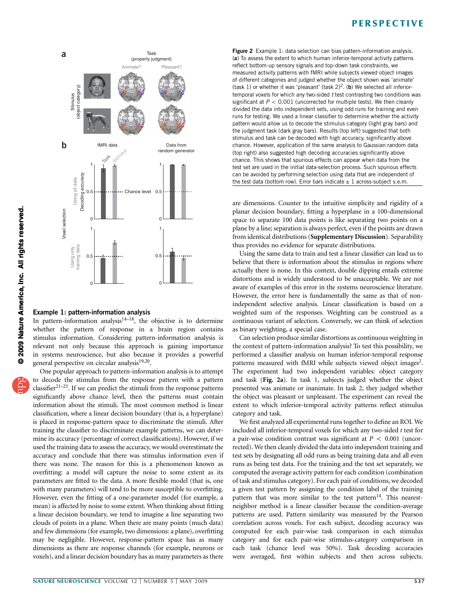

## Example 1: pattern-information analysis

In pattern-information analysis $14-18$ , the objective is to determine whether the pattern of response in a brain region contains stimulus information. Considering pattern-information analysis is relevant not only because this approach is gaining importance in systems neuroscience, but also because it provides a powerful general perspective on circular analysis<sup>19,20</sup>.

One popular approach to pattern-information analysis is to attempt to decode the stimulus from the response pattern with a pattern classifier $2^{1-23}$ . If we can predict the stimuli from the response patterns significantly above chance level, then the patterns must contain information about the stimuli. The most common method is linear classification, where a linear decision boundary (that is, a hyperplane) is placed in response-pattern space to discriminate the stimuli. After training the classifier to discriminate example patterns, we can determine its accuracy (percentage of correct classifications). However, if we used the training data to assess the accuracy, we would overestimate the accuracy and conclude that there was stimulus information even if there was none. The reason for this is a phenomenon known as overfitting: a model will capture the noise to some extent as its parameters are fitted to the data. A more flexible model (that is, one with many parameters) will tend to be more susceptible to overfitting. However, even the fitting of a one-parameter model (for example, a mean) is affected by noise to some extent. When thinking about fitting a linear decision boundary, we tend to imagine a line separating two clouds of points in a plane. When there are many points (much data) and few dimensions (for example, two dimensions: a plane), overfitting may be negligible. However, response-pattern space has as many dimensions as there are response channels (for example, neurons or voxels), and a linear decision boundary has as many parameters as there

Figure 2 Example 1: data selection can bias pattern-information analysis. (a) To assess the extent to which human inferior-temporal activity patterns reflect bottom-up sensory signals and top-down task constraints, we measured activity patterns with fMRI while subjects viewed object images of different categories and judged whether the object shown was 'animate' (task 1) or whether it was 'pleasant' (task  $2^2$ . (b) We selected all inferiortemporal voxels for which any two-sided t test contrasting two conditions was significant at  $P < 0.001$  (uncorrected for multiple tests). We then cleanly divided the data into independent sets, using odd runs for training and even runs for testing. We used a linear classifier to determine whether the activity pattern would allow us to decode the stimulus category (light gray bars) and the judgment task (dark gray bars). Results (top left) suggested that both stimulus and task can be decoded with high accuracy, significantly above chance. However, application of the same analysis to Gaussian random data (top right) also suggested high decoding accuracies significantly above chance. This shows that spurious effects can appear when data from the test set are used in the initial data-selection process. Such spurious effects can be avoided by performing selection using data that are independent of the test data (bottom row). Error bars indicate  $\pm$  1 across-subject s.e.m.

are dimensions. Counter to the intuitive simplicity and rigidity of a planar decision boundary, fitting a hyperplane in a 100-dimensional space to separate 100 data points is like separating two points on a plane by a line; separation is always perfect, even if the points are drawn from identical distributions (Supplementary Discussion). Separability thus provides no evidence for separate distributions.

Using the same data to train and test a linear classifier can lead us to believe that there is information about the stimulus in regions where actually there is none. In this context, double dipping entails extreme distortions and is widely understood to be unacceptable. We are not aware of examples of this error in the systems neuroscience literature. However, the error here is fundamentally the same as that of nonindependent selective analysis. Linear classification is based on a weighted sum of the responses. Weighting can be construed as a continuous variant of selection. Conversely, we can think of selection as binary weighting, a special case.

Can selection produce similar distortions as continuous weighting in the context of pattern-information analysis? To test this possibility, we performed a classifier analysis on human inferior-temporal response patterns measured with fMRI while subjects viewed object images<sup>2</sup>. The experiment had two independent variables: object category and task (Fig. 2a). In task 1, subjects judged whether the object presented was animate or inanimate. In task 2, they judged whether the object was pleasant or unpleasant. The experiment can reveal the extent to which inferior-temporal activity patterns reflect stimulus category and task.

We first analyzed all experimental runs together to define an ROI. We included all inferior-temporal voxels for which any two-sided  $t$  test for a pair-wise condition contrast was significant at  $P < 0.001$  (uncorrected). We then cleanly divided the data into independent training and test sets by designating all odd runs as being training data and all even runs as being test data. For the training and the test set separately, we computed the average activity pattern for each condition (combination of task and stimulus category). For each pair of conditions, we decoded a given test pattern by assigning the condition label of the training pattern that was more similar to the test pattern<sup>14</sup>. This nearestneighbor method is a linear classifier because the condition-average patterns are used. Pattern similarity was measured by the Pearson correlation across voxels. For each subject, decoding accuracy was computed for each pair-wise task comparison in each stimulus category and for each pair-wise stimulus-category comparison in each task (chance level was 50%). Task decoding accuracies were averaged, first within subjects and then across subjects.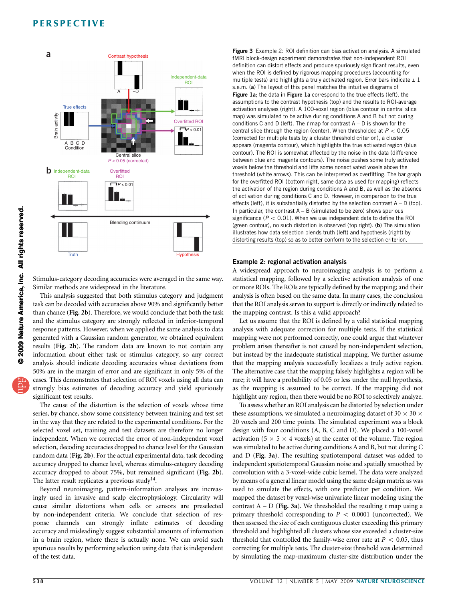

Stimulus-category decoding accuracies were averaged in the same way. Similar methods are widespread in the literature.

This analysis suggested that both stimulus category and judgment task can be decoded with accuracies above 90% and significantly better than chance (Fig. 2b). Therefore, we would conclude that both the task and the stimulus category are strongly reflected in inferior-temporal response patterns. However, when we applied the same analysis to data generated with a Gaussian random generator, we obtained equivalent results (Fig. 2b). The random data are known to not contain any information about either task or stimulus category, so any correct analysis should indicate decoding accuracies whose deviations from 50% are in the margin of error and are significant in only 5% of the cases. This demonstrates that selection of ROI voxels using all data can strongly bias estimates of decoding accuracy and yield spuriously significant test results.

The cause of the distortion is the selection of voxels whose time series, by chance, show some consistency between training and test set in the way that they are related to the experimental conditions. For the selected voxel set, training and test datasets are therefore no longer independent. When we corrected the error of non-independent voxel selection, decoding accuracies dropped to chance level for the Gaussian random data (Fig. 2b). For the actual experimental data, task decoding accuracy dropped to chance level, whereas stimulus-category decoding accuracy dropped to about 75%, but remained significant (Fig. 2b). The latter result replicates a previous study<sup>[14](#page-5-0)</sup>.

Beyond neuroimaging, pattern-information analyses are increasingly used in invasive and scalp electrophysiology. Circularity will cause similar distortions when cells or sensors are preselected by non-independent criteria. We conclude that selection of response channels can strongly inflate estimates of decoding accuracy and misleadingly suggest substantial amounts of information in a brain region, where there is actually none. We can avoid such spurious results by performing selection using data that is independent of the test data.

Figure 3 Example 2: ROI definition can bias activation analysis. A simulated fMRI block-design experiment demonstrates that non-independent ROI definition can distort effects and produce spuriously significant results, even when the ROI is defined by rigorous mapping procedures (accounting for multiple tests) and highlights a truly activated region. Error bars indicate  $\pm 1$ s.e.m. (a) The layout of this panel matches the intuitive diagrams of Figure 1a; the data in Figure 1a correspond to the true effects (left), the assumptions to the contrast hypothesis (top) and the results to ROI-average activation analyses (right). A 100-voxel region (blue contour in central slice map) was simulated to be active during conditions A and B but not during conditions C and D (left). The  $t$  map for contrast  $A - D$  is shown for the central slice through the region (center). When thresholded at  $P < 0.05$ (corrected for multiple tests by a cluster threshold criterion), a cluster appears (magenta contour), which highlights the true activated region (blue contour). The ROI is somewhat affected by the noise in the data (difference between blue and magenta contours). The noise pushes some truly activated voxels below the threshold and lifts some nonactivated voxels above the threshold (white arrows). This can be interpreted as overfitting. The bar graph for the overfitted ROI (bottom right, same data as used for mapping) reflects the activation of the region during conditions A and B, as well as the absence of activation during conditions C and D. However, in comparison to the true effects (left), it is substantially distorted by the selection contrast  $A - D$  (top). In particular, the contrast  $A - B$  (simulated to be zero) shows spurious significance ( $P < 0.01$ ). When we use independent data to define the ROI (green contour), no such distortion is observed (top right). (b) The simulation illustrates how data selection blends truth (left) and hypothesis (right) by distorting results (top) so as to better conform to the selection criterion.

### Example 2: regional activation analysis

A widespread approach to neuroimaging analysis is to perform a statistical mapping, followed by a selective activation analysis of one or more ROIs. The ROIs are typically defined by the mapping; and their analysis is often based on the same data. In many cases, the conclusion that the ROI analysis serves to support is directly or indirectly related to the mapping contrast. Is this a valid approach?

Let us assume that the ROI is defined by a valid statistical mapping analysis with adequate correction for multiple tests. If the statistical mapping were not performed correctly, one could argue that whatever problem arises thereafter is not caused by non-independent selection, but instead by the inadequate statistical mapping. We further assume that the mapping analysis successfully localizes a truly active region. The alternative case that the mapping falsely highlights a region will be rare; it will have a probability of 0.05 or less under the null hypothesis, as the mapping is assumed to be correct. If the mapping did not highlight any region, then there would be no ROI to selectively analyze.

To assess whether an ROI analysis can be distorted by selection under these assumptions, we simulated a neuroimaging dataset of 30  $\times$  30  $\times$ 20 voxels and 200 time points. The simulated experiment was a block design with four conditions (A, B, C and D). We placed a 100-voxel activation (5  $\times$  5  $\times$  4 voxels) at the center of the volume. The region was simulated to be active during conditions A and B, but not during C and D (Fig. 3a). The resulting spatiotemporal dataset was added to independent spatiotemporal Gaussian noise and spatially smoothed by convolution with a 3-voxel-wide cubic kernel. The data were analyzed by means of a general linear model using the same design matrix as was used to simulate the effects, with one predictor per condition. We mapped the dataset by voxel-wise univariate linear modeling using the contrast  $A - D$  (Fig. 3a). We thresholded the resulting t map using a primary threshold corresponding to  $P < 0.0001$  (uncorrected). We then assessed the size of each contiguous cluster exceeding this primary threshold and highlighted all clusters whose size exceeded a cluster-size threshold that controlled the family-wise error rate at  $P < 0.05$ , thus correcting for multiple tests. The cluster-size threshold was determined by simulating the map-maximum cluster-size distribution under the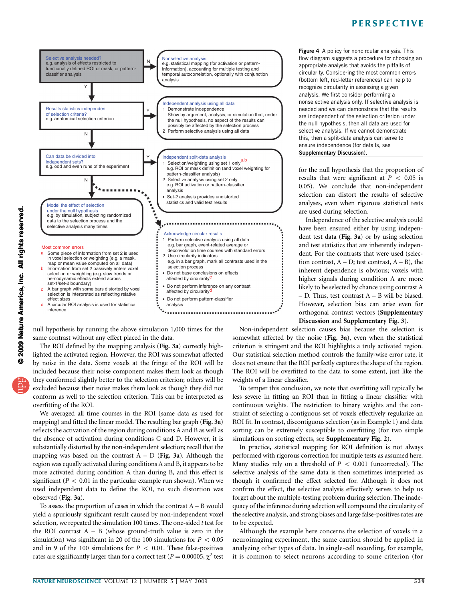

null hypothesis by running the above simulation 1,000 times for the same contrast without any effect placed in the data.

The ROI defined by the mapping analysis (Fig. 3a) correctly highlighted the activated region. However, the ROI was somewhat affected by noise in the data. Some voxels at the fringe of the ROI will be included because their noise component makes them look as though they conformed slightly better to the selection criterion; others will be excluded because their noise makes them look as though they did not conform as well to the selection criterion. This can be interpreted as overfitting of the ROI.

We averaged all time courses in the ROI (same data as used for mapping) and fitted the linear model. The resulting bar graph (Fig. 3a) reflects the activation of the region during conditions A and B as well as the absence of activation during conditions C and D. However, it is substantially distorted by the non-independent selection; recall that the mapping was based on the contrast  $A - D$  (Fig. 3a). Although the region was equally activated during conditions A and B, it appears to be more activated during condition A than during B, and this effect is significant ( $P < 0.01$  in the particular example run shown). When we used independent data to define the ROI, no such distortion was observed (Fig. 3a).

To assess the proportion of cases in which the contrast  $A - B$  would yield a spuriously significant result caused by non-independent voxel selection, we repeated the simulation 100 times. The one-sided t test for the ROI contrast  $A - B$  (whose ground-truth value is zero in the simulation) was significant in 20 of the 100 simulations for  $P < 0.05$ and in 9 of the 100 simulations for  $P < 0.01$ . These false-positives rates are significantly larger than for a correct test ( $P = 0.00005$ ,  $\chi^2$  test

Figure 4 A policy for noncircular analysis. This flow diagram suggests a procedure for choosing an appropriate analysis that avoids the pitfalls of circularity. Considering the most common errors (bottom left, red-letter references) can help to recognize circularity in assessing a given analysis. We first consider performing a nonselective analysis only. If selective analysis is needed and we can demonstrate that the results are independent of the selection criterion under the null hypothesis, then all data are used for selective analysis. If we cannot demonstrate this, then a split-data analysis can serve to ensure independence (for details, see Supplementary Discussion).

for the null hypothesis that the proportion of results that were significant at  $P < 0.05$  is 0.05). We conclude that non-independent selection can distort the results of selective analyses, even when rigorous statistical tests are used during selection.

Independence of the selective analysis could have been ensured either by using independent test data (Fig. 3a) or by using selection and test statistics that are inherently independent. For the contrasts that were used (selection contrast,  $A - D$ ; test contrast,  $A - B$ ), the inherent dependence is obvious; voxels with higher signals during condition A are more likely to be selected by chance using contrast A – D. Thus, test contrast A – B will be biased. However, selection bias can arise even for orthogonal contrast vectors (Supplementary Discussion and Supplementary Fig. 3).

Non-independent selection causes bias because the selection is somewhat affected by the noise (Fig. 3a), even when the statistical criterion is stringent and the ROI highlights a truly activated region. Our statistical selection method controls the family-wise error rate; it does not ensure that the ROI perfectly captures the shape of the region. The ROI will be overfitted to the data to some extent, just like the weights of a linear classifier.

To temper this conclusion, we note that overfitting will typically be less severe in fitting an ROI than in fitting a linear classifier with continuous weights. The restriction to binary weights and the constraint of selecting a contiguous set of voxels effectively regularize an ROI fit. In contrast, discontiguous selection (as in Example 1) and data sorting can be extremely susceptible to overfitting (for two simple simulations on sorting effects, see Supplementary Fig. 2).

In practice, statistical mapping for ROI definition is not always performed with rigorous correction for multiple tests as assumed here. Many studies rely on a threshold of  $P < 0.001$  (uncorrected). The selective analysis of the same data is then sometimes interpreted as though it confirmed the effect selected for. Although it does not confirm the effect, the selective analysis effectively serves to help us forget about the multiple-testing problem during selection. The inadequacy of the inference during selection will compound the circularity of the selective analysis, and strong biases and large false-positives rates are to be expected.

Although the example here concerns the selection of voxels in a neuroimaging experiment, the same caution should be applied in analyzing other types of data. In single-cell recording, for example, it is common to select neurons according to some criterion (for